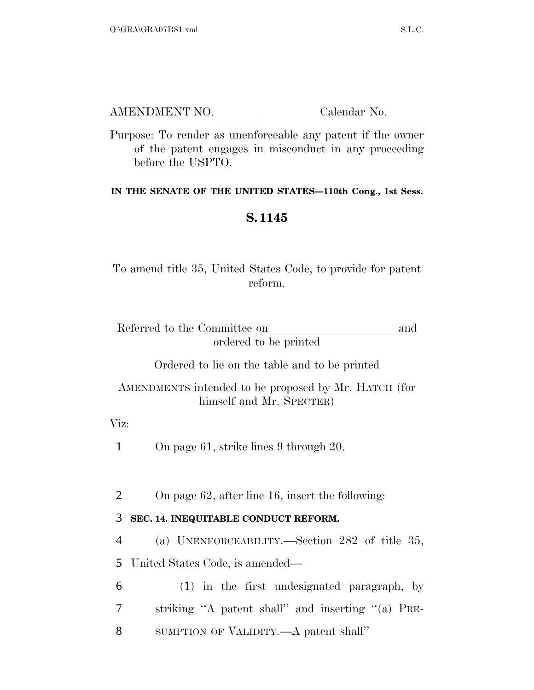AMENDMENT NO. Calendar No.

Purpose: To render as unenforceable any patent if the owner of the patent engages in misconduct in any proceeding before the USPTO.

## **IN THE SENATE OF THE UNITED STATES—110th Cong., 1st Sess.**

## **S. 1145**

To amend title 35, United States Code, to provide for patent reform.

| Referred to the Committee on | and |
|------------------------------|-----|
| ordered to be printed        |     |

Ordered to lie on the table and to be printed

AMENDMENTS intended to be proposed by Mr. HATCH (for himself and Mr. SPECTER)

Viz:

1 On page 61, strike lines 9 through 20.

2 On page 62, after line 16, insert the following:

## 3 **SEC. 14. INEQUITABLE CONDUCT REFORM.**

4 (a) UNENFORCEABILITY.—Section 282 of title 35,

5 United States Code, is amended—

6 (1) in the first undesignated paragraph, by 7 striking ''A patent shall'' and inserting ''(a) PRE-8 SUMPTION OF VALIDITY.—A patent shall''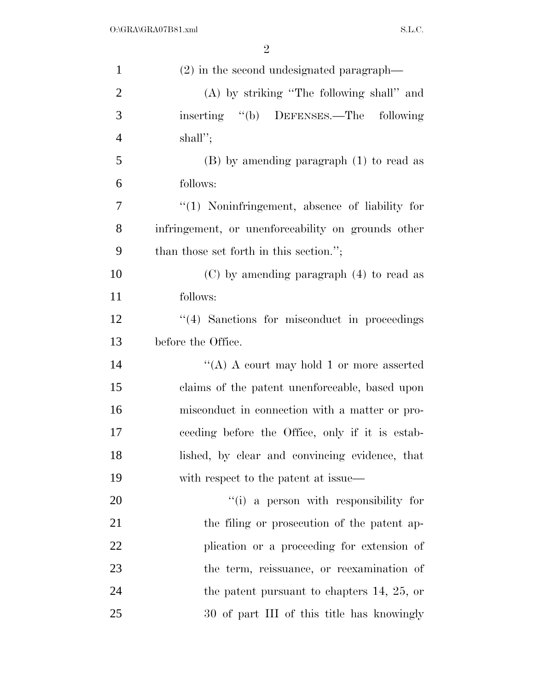| $\mathbf{1}$   | (2) in the second undesignated paragraph—          |
|----------------|----------------------------------------------------|
| $\overline{2}$ | (A) by striking "The following shall" and          |
| 3              | inserting "(b) DEFENSES.—The following             |
| $\overline{4}$ | $shall$ ";                                         |
| 5              | $(B)$ by amending paragraph $(1)$ to read as       |
| 6              | follows:                                           |
| 7              | $\lq(1)$ Noninfringement, absence of liability for |
| 8              | infringement, or unenforceability on grounds other |
| 9              | than those set forth in this section.";            |
| 10             | $(C)$ by amending paragraph $(4)$ to read as       |
| 11             | follows:                                           |
| 12             | $\lq(4)$ Sanctions for misconduct in proceedings   |
| 13             | before the Office.                                 |
| 14             | "(A) A court may hold 1 or more asserted           |
| 15             | claims of the patent unenforceable, based upon     |
| 16             | misconduct in connection with a matter or pro-     |
| 17             | ceeding before the Office, only if it is estab-    |
| 18             | lished, by clear and convincing evidence, that     |
| 19             | with respect to the patent at issue—               |
| 20             | "(i) a person with responsibility for              |
| 21             | the filing or prosecution of the patent ap-        |
| 22             | plication or a proceeding for extension of         |
| 23             | the term, reissuance, or reexamination of          |
| 24             | the patent pursuant to chapters $14, 25,$ or       |
| 25             | 30 of part III of this title has knowingly         |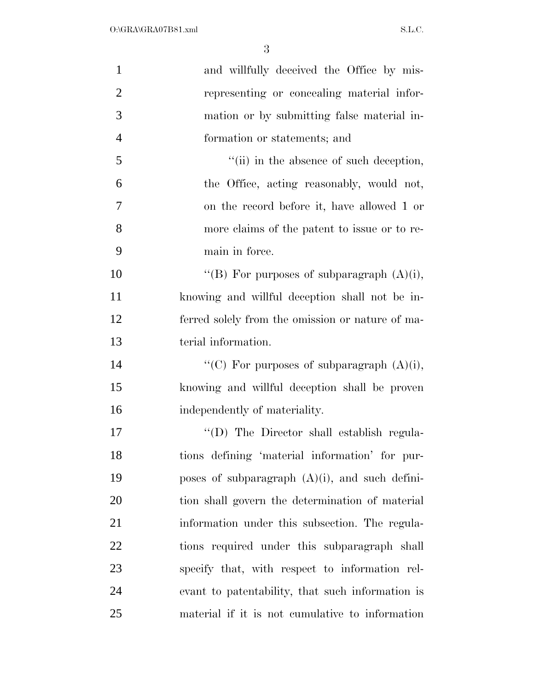| $\mathbf{1}$   | and willfully deceived the Office by mis-                 |
|----------------|-----------------------------------------------------------|
| $\overline{2}$ | representing or concealing material infor-                |
| 3              | mation or by submitting false material in-                |
| $\overline{4}$ | formation or statements; and                              |
| 5              | $\lq$ <sup>"</sup> (ii) in the absence of such deception, |
| 6              | the Office, acting reasonably, would not,                 |
| 7              | on the record before it, have allowed 1 or                |
| 8              | more claims of the patent to issue or to re-              |
| 9              | main in force.                                            |
| 10             | "(B) For purposes of subparagraph $(A)(i)$ ,              |
| 11             | knowing and willful deception shall not be in-            |
| 12             | ferred solely from the omission or nature of ma-          |
| 13             | terial information.                                       |
| 14             | "(C) For purposes of subparagraph $(A)(i)$ ,              |
| 15             | knowing and willful deception shall be proven             |
| 16             | independently of materiality.                             |
| 17             | "(D) The Director shall establish regula-                 |
| 18             | tions defining 'material information' for pur-            |
| 19             | poses of subparagraph $(A)(i)$ , and such defini-         |
| 20             | tion shall govern the determination of material           |
| 21             | information under this subsection. The regula-            |
| 22             | tions required under this subparagraph shall              |
| 23             | specify that, with respect to information rel-            |
| 24             | evant to patentability, that such information is          |
| 25             | material if it is not cumulative to information           |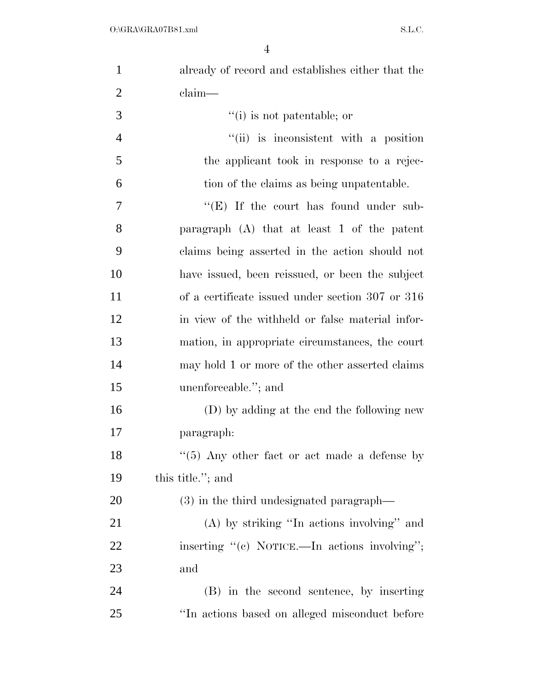| $\mathbf{1}$   | already of record and establishes either that the |
|----------------|---------------------------------------------------|
| $\overline{2}$ | claim—                                            |
| 3              | $f'(i)$ is not patentable; or                     |
| $\overline{4}$ | "(ii) is inconsistent with a position             |
| 5              | the applicant took in response to a rejec-        |
| 6              | tion of the claims as being unpatentable.         |
| 7              | " $(E)$ If the court has found under sub-         |
| 8              | paragraph $(A)$ that at least 1 of the patent     |
| 9              | claims being asserted in the action should not    |
| 10             | have issued, been reissued, or been the subject   |
| 11             | of a certificate issued under section 307 or 316  |
| 12             | in view of the withheld or false material infor-  |
| 13             | mation, in appropriate circumstances, the court   |
| 14             | may hold 1 or more of the other asserted claims   |
| 15             | unenforceable."; and                              |
| 16             | (D) by adding at the end the following new        |
| 17             | paragraph:                                        |
| 18             | $``(5)$ Any other fact or act made a defense by   |
| 19             | this title."; and                                 |
| 20             | (3) in the third undesignated paragraph—          |
| 21             | $(A)$ by striking "In actions involving" and      |
| 22             | inserting "(c) NOTICE.—In actions involving";     |
| 23             | and                                               |
| 24             | (B) in the second sentence, by inserting          |
| 25             | "In actions based on alleged misconduct before    |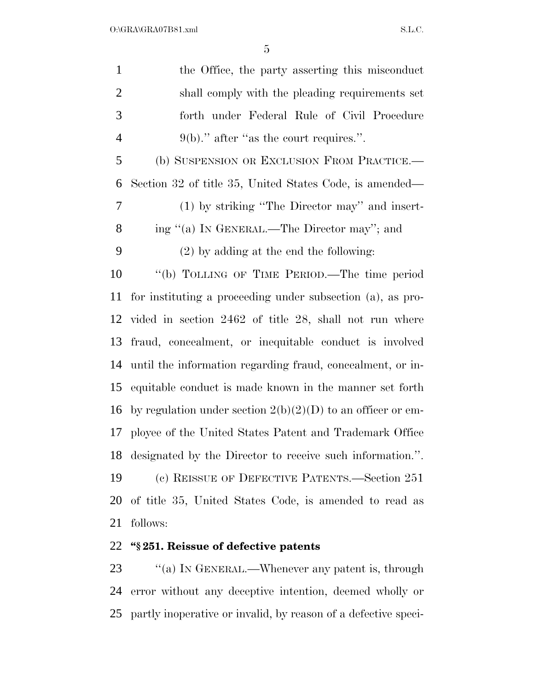| $\mathbf{1}$   | the Office, the party asserting this misconduct               |
|----------------|---------------------------------------------------------------|
| $\overline{2}$ | shall comply with the pleading requirements set               |
| 3              | forth under Federal Rule of Civil Procedure                   |
| $\overline{4}$ | $9(b)$ ." after "as the court requires.".                     |
| 5              | (b) SUSPENSION OR EXCLUSION FROM PRACTICE.—                   |
| 6              | Section 32 of title 35, United States Code, is amended—       |
| 7              | (1) by striking "The Director may" and insert-                |
| 8              | ing "(a) IN GENERAL.—The Director may"; and                   |
| 9              | $(2)$ by adding at the end the following:                     |
| 10             | "(b) TOLLING OF TIME PERIOD.—The time period                  |
| 11             | for instituting a proceeding under subsection (a), as pro-    |
| 12             | vided in section 2462 of title 28, shall not run where        |
| 13             | fraud, concealment, or inequitable conduct is involved        |
| 14             | until the information regarding fraud, concealment, or in-    |
| 15             | equitable conduct is made known in the manner set forth       |
| 16             | by regulation under section $2(b)(2)(D)$ to an officer or em- |
| 17             | ployee of the United States Patent and Trademark Office       |
|                | 18 designated by the Director to receive such information.".  |
| 19             | (c) REISSUE OF DEFECTIVE PATENTS.—Section 251                 |
| 20             | of title 35, United States Code, is amended to read as        |
| 21             | follows:                                                      |
|                | 22 "§251. Reissue of defective patents                        |

23 "(a) IN GENERAL.—Whenever any patent is, through error without any deceptive intention, deemed wholly or partly inoperative or invalid, by reason of a defective speci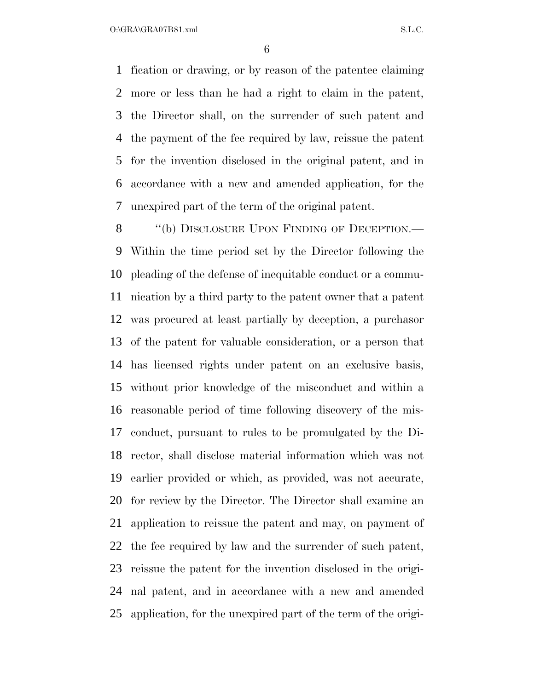$O:\overline{GRA}\setminus GRA$   $SL.C.$ 

 fication or drawing, or by reason of the patentee claiming more or less than he had a right to claim in the patent, the Director shall, on the surrender of such patent and the payment of the fee required by law, reissue the patent for the invention disclosed in the original patent, and in accordance with a new and amended application, for the unexpired part of the term of the original patent.

8 "(b) DISCLOSURE UPON FINDING OF DECEPTION.— Within the time period set by the Director following the pleading of the defense of inequitable conduct or a commu- nication by a third party to the patent owner that a patent was procured at least partially by deception, a purchasor of the patent for valuable consideration, or a person that has licensed rights under patent on an exclusive basis, without prior knowledge of the misconduct and within a reasonable period of time following discovery of the mis- conduct, pursuant to rules to be promulgated by the Di- rector, shall disclose material information which was not earlier provided or which, as provided, was not accurate, for review by the Director. The Director shall examine an application to reissue the patent and may, on payment of the fee required by law and the surrender of such patent, reissue the patent for the invention disclosed in the origi- nal patent, and in accordance with a new and amended application, for the unexpired part of the term of the origi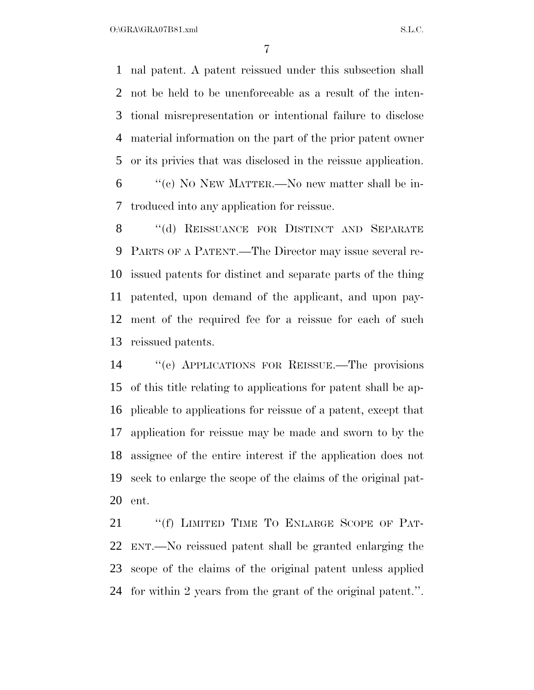$O:\overline{GRA}\overline{GRA07B81}$ .xml  $SL.C.$ 

 nal patent. A patent reissued under this subsection shall not be held to be unenforceable as a result of the inten- tional misrepresentation or intentional failure to disclose material information on the part of the prior patent owner or its privies that was disclosed in the reissue application.

 ''(c) NO NEW MATTER.—No new matter shall be in-troduced into any application for reissue.

8 "(d) REISSUANCE FOR DISTINCT AND SEPARATE PARTS OF A PATENT.—The Director may issue several re- issued patents for distinct and separate parts of the thing patented, upon demand of the applicant, and upon pay- ment of the required fee for a reissue for each of such reissued patents.

 ''(e) APPLICATIONS FOR REISSUE.—The provisions of this title relating to applications for patent shall be ap- plicable to applications for reissue of a patent, except that application for reissue may be made and sworn to by the assignee of the entire interest if the application does not seek to enlarge the scope of the claims of the original pat-ent.

21 "(f) LIMITED TIME TO ENLARGE SCOPE OF PAT- ENT.—No reissued patent shall be granted enlarging the scope of the claims of the original patent unless applied for within 2 years from the grant of the original patent.''.